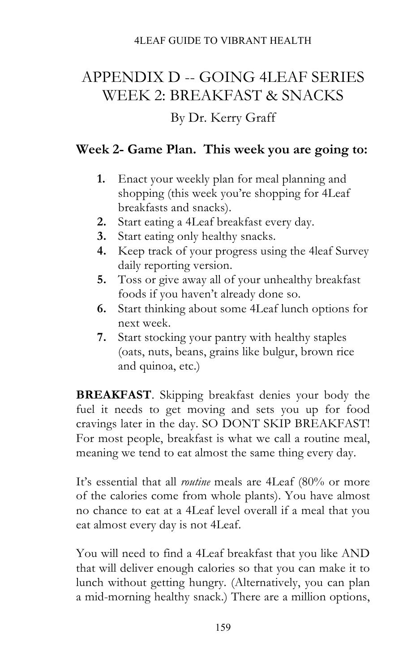# APPENDIX D -- GOING 4LEAF SERIES WEEK 2: BREAKFAST & SNACKS

### By Dr. Kerry Graff

## **Week 2- Game Plan. This week you are going to:**

- **1.** Enact your weekly plan for meal planning and shopping (this week you're shopping for 4Leaf breakfasts and snacks).
- **2.** Start eating a 4Leaf breakfast every day.
- **3.** Start eating only healthy snacks.
- **4.** Keep track of your progress using the 4leaf Survey daily reporting version.
- **5.** Toss or give away all of your unhealthy breakfast foods if you haven't already done so.
- **6.** Start thinking about some 4Leaf lunch options for next week.
- **7.** Start stocking your pantry with healthy staples (oats, nuts, beans, grains like bulgur, brown rice and quinoa, etc.)

**BREAKFAST**. Skipping breakfast denies your body the fuel it needs to get moving and sets you up for food cravings later in the day. SO DONT SKIP BREAKFAST! For most people, breakfast is what we call a routine meal, meaning we tend to eat almost the same thing every day.

It's essential that all *routine* meals are 4Leaf (80% or more of the calories come from whole plants). You have almost no chance to eat at a 4Leaf level overall if a meal that you eat almost every day is not 4Leaf.

You will need to find a 4Leaf breakfast that you like AND that will deliver enough calories so that you can make it to lunch without getting hungry. (Alternatively, you can plan a mid-morning healthy snack.) There are a million options,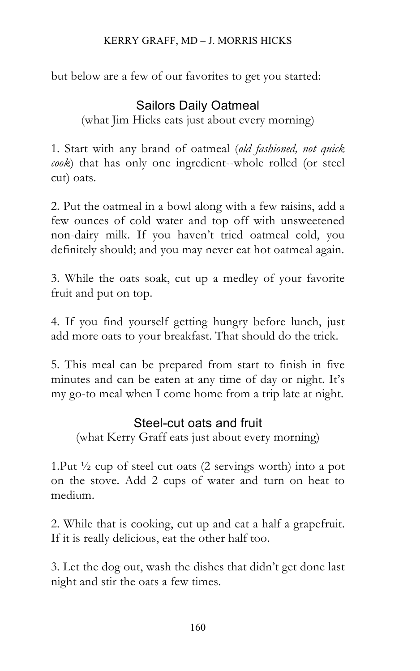but below are a few of our favorites to get you started:

# Sailors Daily Oatmeal

(what Jim Hicks eats just about every morning)

1. Start with any brand of oatmeal (*old fashioned, not quick cook*) that has only one ingredient--whole rolled (or steel cut) oats.

2. Put the oatmeal in a bowl along with a few raisins, add a few ounces of cold water and top off with unsweetened non-dairy milk. If you haven't tried oatmeal cold, you definitely should; and you may never eat hot oatmeal again.

3. While the oats soak, cut up a medley of your favorite fruit and put on top.

4. If you find yourself getting hungry before lunch, just add more oats to your breakfast. That should do the trick.

5. This meal can be prepared from start to finish in five minutes and can be eaten at any time of day or night. It's my go-to meal when I come home from a trip late at night.

### Steel-cut oats and fruit

(what Kerry Graff eats just about every morning)

1.Put ½ cup of steel cut oats (2 servings worth) into a pot on the stove. Add 2 cups of water and turn on heat to medium.

2. While that is cooking, cut up and eat a half a grapefruit. If it is really delicious, eat the other half too.

3. Let the dog out, wash the dishes that didn't get done last night and stir the oats a few times.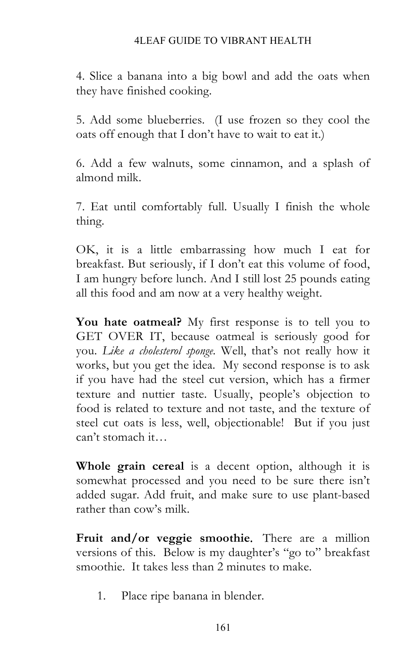#### 4LEAF GUIDE TO VIBRANT HEALTH

4. Slice a banana into a big bowl and add the oats when they have finished cooking.

5. Add some blueberries. (I use frozen so they cool the oats off enough that I don't have to wait to eat it.)

6. Add a few walnuts, some cinnamon, and a splash of almond milk.

7. Eat until comfortably full. Usually I finish the whole thing.

OK, it is a little embarrassing how much I eat for breakfast. But seriously, if I don't eat this volume of food, I am hungry before lunch. And I still lost 25 pounds eating all this food and am now at a very healthy weight.

**You hate oatmeal?** My first response is to tell you to GET OVER IT, because oatmeal is seriously good for you. *Like a cholesterol sponge.* Well, that's not really how it works, but you get the idea. My second response is to ask if you have had the steel cut version, which has a firmer texture and nuttier taste. Usually, people's objection to food is related to texture and not taste, and the texture of steel cut oats is less, well, objectionable! But if you just can't stomach it…

**Whole grain cereal** is a decent option, although it is somewhat processed and you need to be sure there isn't added sugar. Add fruit, and make sure to use plant-based rather than cow's milk.

**Fruit and/or veggie smoothie***.* There are a million versions of this. Below is my daughter's "go to" breakfast smoothie. It takes less than 2 minutes to make.

1. Place ripe banana in blender.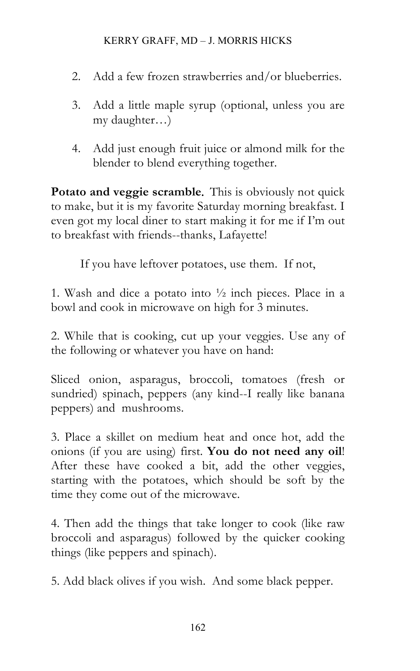#### KERRY GRAFF, MD – J. MORRIS HICKS

- 2. Add a few frozen strawberries and/or blueberries.
- 3. Add a little maple syrup (optional, unless you are my daughter…)
- 4. Add just enough fruit juice or almond milk for the blender to blend everything together.

**Potato and veggie scramble***.* This is obviously not quick to make, but it is my favorite Saturday morning breakfast. I even got my local diner to start making it for me if I'm out to breakfast with friends--thanks, Lafayette!

If you have leftover potatoes, use them. If not,

1. Wash and dice a potato into  $\frac{1}{2}$  inch pieces. Place in a bowl and cook in microwave on high for 3 minutes.

2. While that is cooking, cut up your veggies. Use any of the following or whatever you have on hand:

Sliced onion, asparagus, broccoli, tomatoes (fresh or sundried) spinach, peppers (any kind--I really like banana peppers) and mushrooms.

3. Place a skillet on medium heat and once hot, add the onions (if you are using) first. **You do not need any oil**! After these have cooked a bit, add the other veggies, starting with the potatoes, which should be soft by the time they come out of the microwave.

4. Then add the things that take longer to cook (like raw broccoli and asparagus) followed by the quicker cooking things (like peppers and spinach).

5. Add black olives if you wish. And some black pepper.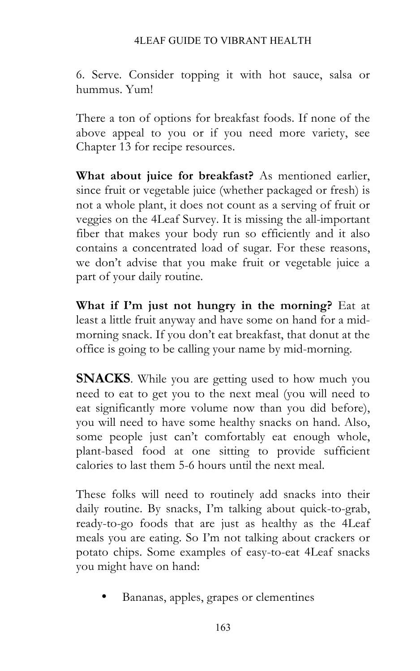#### 4LEAF GUIDE TO VIBRANT HEALTH

6. Serve. Consider topping it with hot sauce, salsa or hummus. Yum!

There a ton of options for breakfast foods. If none of the above appeal to you or if you need more variety, see Chapter 13 for recipe resources.

**What about juice for breakfast?** As mentioned earlier, since fruit or vegetable juice (whether packaged or fresh) is not a whole plant, it does not count as a serving of fruit or veggies on the 4Leaf Survey. It is missing the all-important fiber that makes your body run so efficiently and it also contains a concentrated load of sugar. For these reasons, we don't advise that you make fruit or vegetable juice a part of your daily routine.

**What if I'm just not hungry in the morning?** Eat at least a little fruit anyway and have some on hand for a midmorning snack. If you don't eat breakfast, that donut at the office is going to be calling your name by mid-morning.

**SNACKS**. While you are getting used to how much you need to eat to get you to the next meal (you will need to eat significantly more volume now than you did before), you will need to have some healthy snacks on hand. Also, some people just can't comfortably eat enough whole, plant-based food at one sitting to provide sufficient calories to last them 5-6 hours until the next meal.

These folks will need to routinely add snacks into their daily routine. By snacks, I'm talking about quick-to-grab, ready-to-go foods that are just as healthy as the 4Leaf meals you are eating. So I'm not talking about crackers or potato chips. Some examples of easy-to-eat 4Leaf snacks you might have on hand:

• Bananas, apples, grapes or clementines